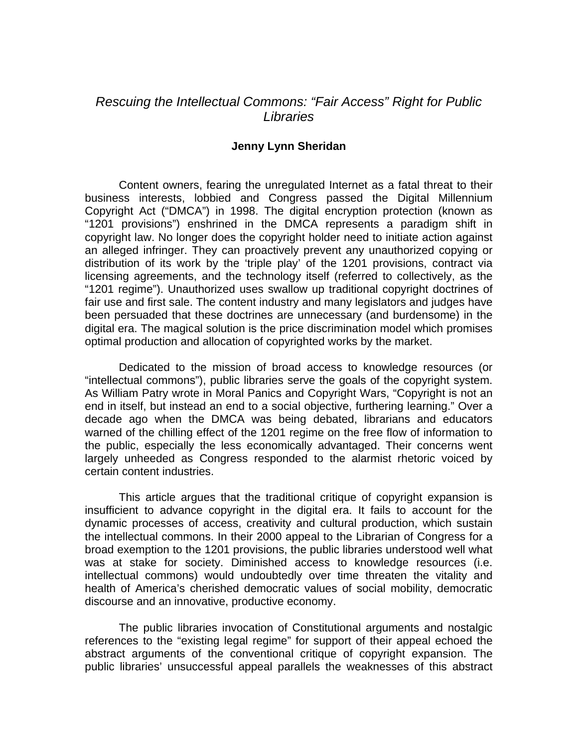## *Rescuing the Intellectual Commons: "Fair Access" Right for Public Libraries*

## **Jenny Lynn Sheridan**

Content owners, fearing the unregulated Internet as a fatal threat to their business interests, lobbied and Congress passed the Digital Millennium Copyright Act ("DMCA") in 1998. The digital encryption protection (known as "1201 provisions") enshrined in the DMCA represents a paradigm shift in copyright law. No longer does the copyright holder need to initiate action against an alleged infringer. They can proactively prevent any unauthorized copying or distribution of its work by the 'triple play' of the 1201 provisions, contract via licensing agreements, and the technology itself (referred to collectively, as the "1201 regime"). Unauthorized uses swallow up traditional copyright doctrines of fair use and first sale. The content industry and many legislators and judges have been persuaded that these doctrines are unnecessary (and burdensome) in the digital era. The magical solution is the price discrimination model which promises optimal production and allocation of copyrighted works by the market.

Dedicated to the mission of broad access to knowledge resources (or "intellectual commons"), public libraries serve the goals of the copyright system. As William Patry wrote in Moral Panics and Copyright Wars, "Copyright is not an end in itself, but instead an end to a social objective, furthering learning." Over a decade ago when the DMCA was being debated, librarians and educators warned of the chilling effect of the 1201 regime on the free flow of information to the public, especially the less economically advantaged. Their concerns went largely unheeded as Congress responded to the alarmist rhetoric voiced by certain content industries.

 This article argues that the traditional critique of copyright expansion is insufficient to advance copyright in the digital era. It fails to account for the dynamic processes of access, creativity and cultural production, which sustain the intellectual commons. In their 2000 appeal to the Librarian of Congress for a broad exemption to the 1201 provisions, the public libraries understood well what was at stake for society. Diminished access to knowledge resources (i.e. intellectual commons) would undoubtedly over time threaten the vitality and health of America's cherished democratic values of social mobility, democratic discourse and an innovative, productive economy.

 The public libraries invocation of Constitutional arguments and nostalgic references to the "existing legal regime" for support of their appeal echoed the abstract arguments of the conventional critique of copyright expansion. The public libraries' unsuccessful appeal parallels the weaknesses of this abstract